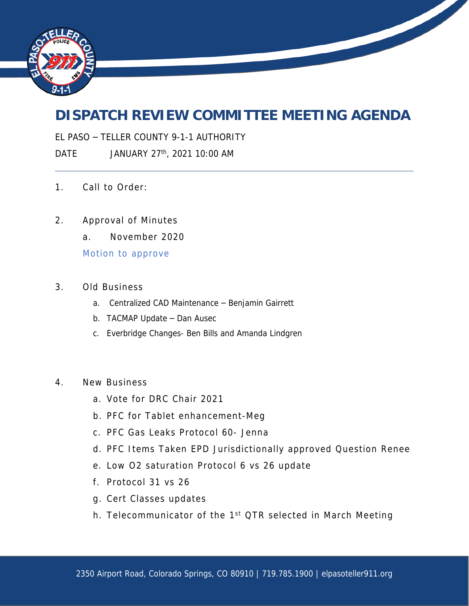

## **DISPATCH REVIEW COMMITTEE MEETING AGENDA**

EL PASO – TELLER COUNTY 9-1-1 AUTHORITY

DATE JANUARY 27<sup>th</sup>, 2021 10:00 AM

- 1. Call to Order:
- 2. Approval of Minutes
	- a. November 2020

Motion to approve

- 3. Old Business
	- a. Centralized CAD Maintenance Benjamin Gairrett
	- b. TACMAP Update Dan Ausec
	- c. Everbridge Changes- Ben Bills and Amanda Lindgren
- 4. New Business
	- a. Vote for DRC Chair 2021
	- b. PFC for Tablet enhancement-Meg
	- c. PFC Gas Leaks Protocol 60- Jenna
	- d. PFC Items Taken EPD Jurisdictionally approved Question Renee
	- e. Low O2 saturation Protocol 6 vs 26 update
	- f. Protocol 31 vs 26
	- g. Cert Classes updates
	- h. Telecommunicator of the 1<sup>st</sup> QTR selected in March Meeting